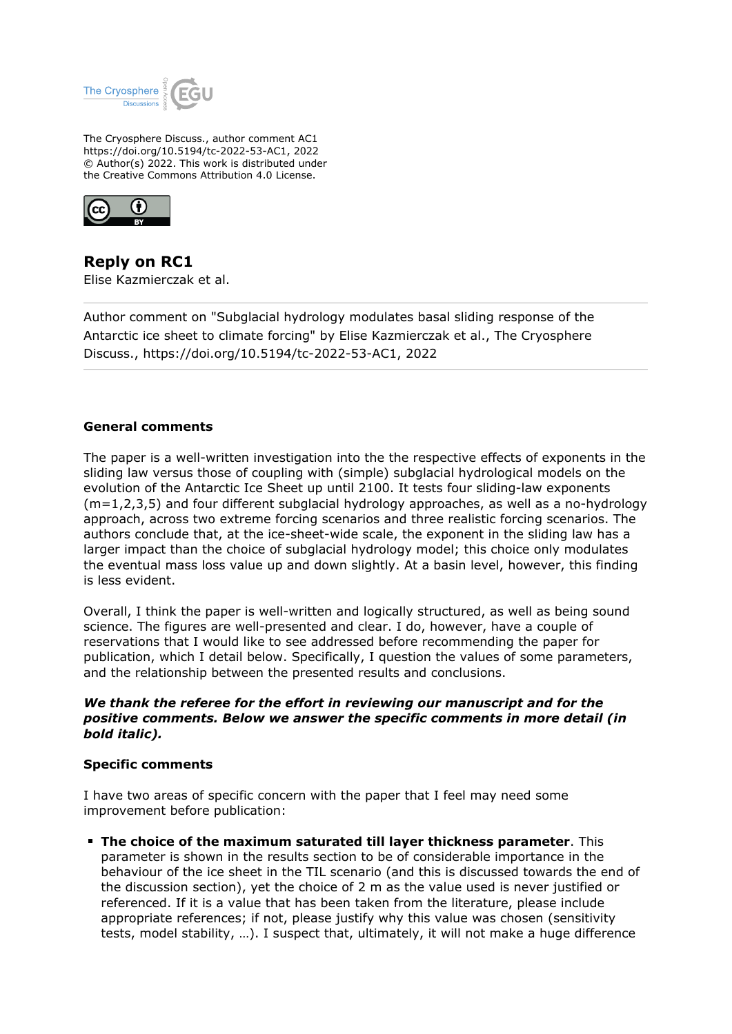

The Cryosphere Discuss., author comment AC1 https://doi.org/10.5194/tc-2022-53-AC1, 2022 © Author(s) 2022. This work is distributed under the Creative Commons Attribution 4.0 License.



**Reply on RC1** Elise Kazmierczak et al.

Author comment on "Subglacial hydrology modulates basal sliding response of the Antarctic ice sheet to climate forcing" by Elise Kazmierczak et al., The Cryosphere Discuss., https://doi.org/10.5194/tc-2022-53-AC1, 2022

## **General comments**

The paper is a well-written investigation into the the respective effects of exponents in the sliding law versus those of coupling with (simple) subglacial hydrological models on the evolution of the Antarctic Ice Sheet up until 2100. It tests four sliding-law exponents (m=1,2,3,5) and four different subglacial hydrology approaches, as well as a no-hydrology approach, across two extreme forcing scenarios and three realistic forcing scenarios. The authors conclude that, at the ice-sheet-wide scale, the exponent in the sliding law has a larger impact than the choice of subglacial hydrology model; this choice only modulates the eventual mass loss value up and down slightly. At a basin level, however, this finding is less evident.

Overall, I think the paper is well-written and logically structured, as well as being sound science. The figures are well-presented and clear. I do, however, have a couple of reservations that I would like to see addressed before recommending the paper for publication, which I detail below. Specifically, I question the values of some parameters, and the relationship between the presented results and conclusions.

# *We thank the referee for the effort in reviewing our manuscript and for the positive comments. Below we answer the specific comments in more detail (in bold italic).*

## **Specific comments**

I have two areas of specific concern with the paper that I feel may need some improvement before publication:

**The choice of the maximum saturated till layer thickness parameter**. This parameter is shown in the results section to be of considerable importance in the behaviour of the ice sheet in the TIL scenario (and this is discussed towards the end of the discussion section), yet the choice of 2 m as the value used is never justified or referenced. If it is a value that has been taken from the literature, please include appropriate references; if not, please justify why this value was chosen (sensitivity tests, model stability, …). I suspect that, ultimately, it will not make a huge difference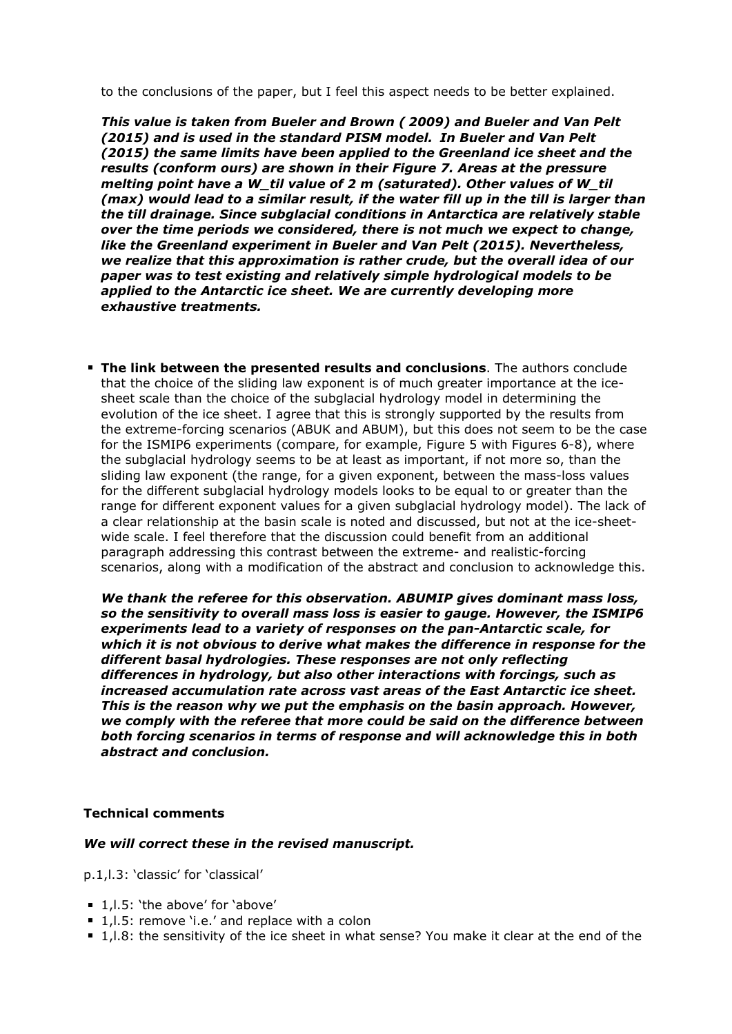to the conclusions of the paper, but I feel this aspect needs to be better explained.

*This value is taken from Bueler and Brown ( 2009) and Bueler and Van Pelt (2015) and is used in the standard PISM model. In Bueler and Van Pelt (2015) the same limits have been applied to the Greenland ice sheet and the results (conform ours) are shown in their Figure 7. Areas at the pressure melting point have a W\_til value of 2 m (saturated). Other values of W\_til (max) would lead to a similar result, if the water fill up in the till is larger than the till drainage. Since subglacial conditions in Antarctica are relatively stable over the time periods we considered, there is not much we expect to change, like the Greenland experiment in Bueler and Van Pelt (2015). Nevertheless, we realize that this approximation is rather crude, but the overall idea of our paper was to test existing and relatively simple hydrological models to be applied to the Antarctic ice sheet. We are currently developing more exhaustive treatments.*

**The link between the presented results and conclusions**. The authors conclude that the choice of the sliding law exponent is of much greater importance at the icesheet scale than the choice of the subglacial hydrology model in determining the evolution of the ice sheet. I agree that this is strongly supported by the results from the extreme-forcing scenarios (ABUK and ABUM), but this does not seem to be the case for the ISMIP6 experiments (compare, for example, Figure 5 with Figures 6-8), where the subglacial hydrology seems to be at least as important, if not more so, than the sliding law exponent (the range, for a given exponent, between the mass-loss values for the different subglacial hydrology models looks to be equal to or greater than the range for different exponent values for a given subglacial hydrology model). The lack of a clear relationship at the basin scale is noted and discussed, but not at the ice-sheetwide scale. I feel therefore that the discussion could benefit from an additional paragraph addressing this contrast between the extreme- and realistic-forcing scenarios, along with a modification of the abstract and conclusion to acknowledge this.

*We thank the referee for this observation. ABUMIP gives dominant mass loss, so the sensitivity to overall mass loss is easier to gauge. However, the ISMIP6 experiments lead to a variety of responses on the pan-Antarctic scale, for which it is not obvious to derive what makes the difference in response for the different basal hydrologies. These responses are not only reflecting differences in hydrology, but also other interactions with forcings, such as increased accumulation rate across vast areas of the East Antarctic ice sheet. This is the reason why we put the emphasis on the basin approach. However, we comply with the referee that more could be said on the difference between both forcing scenarios in terms of response and will acknowledge this in both abstract and conclusion.*

## **Technical comments**

## *We will correct these in the revised manuscript.*

p.1,l.3: 'classic' for 'classical'

- 1, I.5: 'the above' for 'above'
- 1, I.5: remove 'i.e.' and replace with a colon
- 1, l.8: the sensitivity of the ice sheet in what sense? You make it clear at the end of the